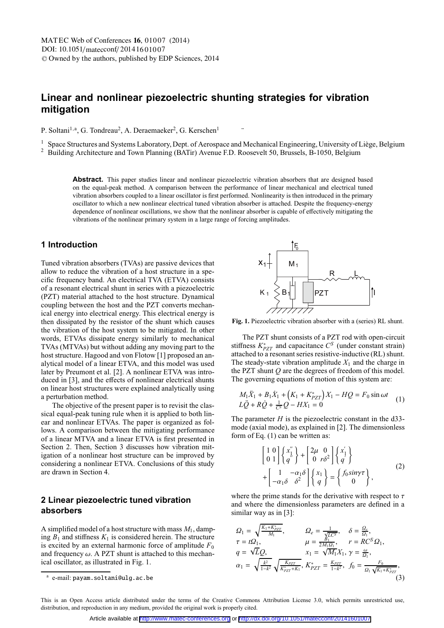# **Linear and nonlinear piezoelectric shunting strategies for vibration mitigation**

P. Soltani<sup>1,a</sup>, G. Tondreau<sup>2</sup>, A. Deraemaeker<sup>2</sup>, G. Kerschen<sup>1</sup>

<sup>1</sup> Space Structures and Systems Laboratory, Dept. of Aerospace and Mechanical Engineering, University of Liège, Belgium

¨

<sup>2</sup> Building Architecture and Town Planning (BATir) Avenue F.D. Roosevelt 50, Brussels, B-1050, Belgium

**Abstract.** This paper studies linear and nonlinear piezoelectric vibration absorbers that are designed based on the equal-peak method. A comparison between the performance of linear mechanical and electrical tuned vibration absorbers coupled to a linear oscillator is first performed. Nonlinearity is then introduced in the primary oscillator to which a new nonlinear electrical tuned vibration absorber is attached. Despite the frequency-energy dependence of nonlinear oscillations, we show that the nonlinear absorber is capable of effectively mitigating the vibrations of the nonlinear primary system in a large range of forcing amplitudes.

## **1 Introduction**

Tuned vibration absorbers (TVAs) are passive devices that allow to reduce the vibration of a host structure in a specific frequency band. An electrical TVA (ETVA) consists of a resonant electrical shunt in series with a piezoelectric (PZT) material attached to the host structure. Dynamical coupling between the host and the PZT converts mechanical energy into electrical energy. This electrical energy is then dissipated by the resistor of the shunt which causes the vibration of the host system to be mitigated. In other words, ETVAs dissipate energy similarly to mechanical TVAs (MTVAs) but without adding any moving part to the host structure. Hagood and von Flotow [1] proposed an analytical model of a linear ETVA, and this model was used later by Preumont et al. [2]. A nonlinear ETVA was introduced in [3], and the effects of nonlinear electrical shunts on linear host structures were explained analytically using a perturbation method.

The objective of the present paper is to revisit the classical equal-peak tuning rule when it is applied to both linear and nonlinear ETVAs. The paper is organized as follows. A comparison between the mitigating performance of a linear MTVA and a linear ETVA is first presented in Section 2. Then, Section 3 discusses how vibration mitigation of a nonlinear host structure can be improved by considering a nonlinear ETVA. Conclusions of this study are drawn in Section 4.

## **2 Linear piezoelectric tuned vibration absorbers**

A simplified model of a host structure with mass *M*1, damping  $B_1$  and stiffness  $K_1$  is considered herein. The structure is excited by an external harmonic force of amplitude  $F_0$ and frequency  $\omega$ . A PZT shunt is attached to this mechanical oscillator, as illustrated in Fig. 1.



**Fig. 1.** Piezoelectric vibration absorber with a (series) RL shunt.

The PZT shunt consists of a PZT rod with open-circuit stiffness  $K_{PZT}^*$  and capacitance  $C^S$  (under constant strain) attached to a resonant series resistive-inductive (RL) shunt. The steady-state vibration amplitude  $X_1$  and the charge in the PZT shunt *Q* are the degrees of freedom of this model. The governing equations of motion of this system are:

$$
M_1\ddot{X}_1 + B_1\dot{X}_1 + (K_1 + K_{PZT}^*)X_1 - HQ = F_0 \sin \omega t
$$
  
\n
$$
L\ddot{Q} + R\dot{Q} + \frac{1}{C^3}Q - HX_1 = 0
$$
\n(1)

The parameter  $H$  is the piezoelectric constant in the d33mode (axial mode), as explained in [2]. The dimensionless form of Eq. (1) can be written as:

$$
\begin{bmatrix} 1 & 0 \ 0 & 1 \end{bmatrix} \begin{Bmatrix} x''_1 \\ q'' \end{Bmatrix} + \begin{bmatrix} 2\mu & 0 \ 0 & r\delta^2 \end{bmatrix} \begin{Bmatrix} x'_1 \\ q' \end{Bmatrix}
$$

$$
+ \begin{bmatrix} 1 & -\alpha_1 \delta & \delta^2 \\ -\alpha_1 \delta & \delta^2 \end{bmatrix} \begin{Bmatrix} x_1 \\ q \end{Bmatrix} = \begin{Bmatrix} f_0 \sin \gamma \tau \\ 0 \end{Bmatrix},
$$
(2)

where the prime stands for the derivative with respect to  $\tau$ and where the dimensionless parameters are defined in a similar way as in [3]:

$$
Q_{1} = \sqrt{\frac{K_{1} + K_{p_{ZT}}^{*}}{M_{1}}}, \qquad Q_{e} = \frac{1}{\frac{\sqrt{LC^{S}}}{M_{1}}}, \qquad \delta = \frac{Q_{e}}{Q_{1}},
$$
  
\n
$$
\tau = tQ_{1}, \qquad \mu = \frac{B_{1}}{2M_{1}\Omega_{1}}, \qquad r = RC^{S}Q_{1},
$$
  
\n
$$
q = \sqrt{LQ}, \qquad x_{1} = \sqrt{M_{1}}X_{1}, \gamma = \frac{\omega}{Q_{1}},
$$
  
\n
$$
\alpha_{1} = \sqrt{\frac{k^{2}}{1 - k^{2}}} \sqrt{\frac{K_{p_{ZT}}}{K_{p_{ZT}}^{*} + K_{1}}}, K_{p_{ZT}}^{*} = \frac{K_{p_{ZT}}}{1 - k^{2}}, f_{0} = \frac{F_{0}}{Q_{1}} \sqrt{K_{1} + K_{p_{ZT}}^{*}},
$$
  
\n(3)

<sup>a</sup> e-mail: payam.soltani@ulg.ac.be

This is an Open Access article distributed under the terms of the Creative Commons Attribution License 3.0, which permits unrestricted use, distribution, and reproduction in any medium, provided the original work is properly cited.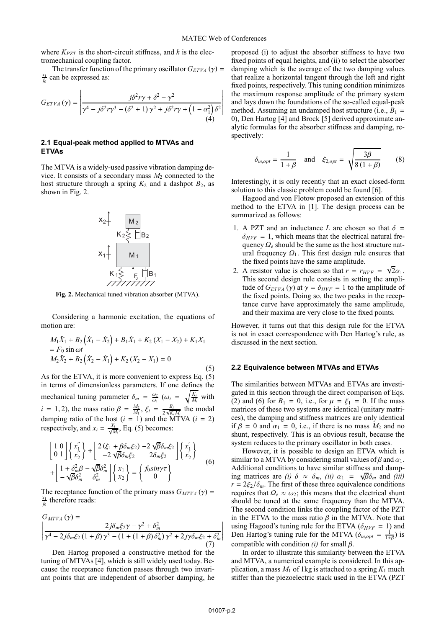where  $K_{PZT}$  is the short-circuit stiffness, and *k* is the electromechanical coupling factor.

The transfer function of the primary oscillator  $G_{ETVA}(\gamma)$  =  $\frac{x_1}{f_0}$  can be expressed as:

$$
G_{ETVA}(\gamma) = \left| \frac{j\delta^2 r \gamma + \delta^2 - \gamma^2}{\gamma^4 - j\delta^2 r \gamma^3 - (\delta^2 + 1)\gamma^2 + j\delta^2 r \gamma + (1 - \alpha_1^2)\delta^2} \right|
$$
\n(4)

### **2.1 Equal-peak method applied to MTVAs and ETVAs**

The MTVA is a widely-used passive vibration damping device. It consists of a secondary mass  $M_2$  connected to the host structure through a spring  $K_2$  and a dashpot  $B_2$ , as shown in Fig. 2.



**Fig. 2.** Mechanical tuned vibration absorber (MTVA).

Considering a harmonic excitation, the equations of motion are:

$$
M_1\ddot{X}_1 + B_2(\dot{X}_1 - \dot{X}_2) + B_1\dot{X}_1 + K_2(X_1 - X_2) + K_1X_1
$$
  
=  $F_0 \sin \omega t$   

$$
M_2\ddot{X}_2 + B_2(\dot{X}_2 - \dot{X}_1) + K_2(X_2 - X_1) = 0
$$
 (5)

As for the ETVA, it is more convenient to express Eq. (5) in terms of dimensionless parameters. If one defines the mechanical tuning parameter  $\delta_m = \frac{\omega_2}{\omega_1}$  ( $\omega_i = \sqrt{\frac{K_i}{M_i}}$  with *i* = 1, 2), the mass ratio  $\beta = \frac{M_2}{M_1}$ ,  $\xi_i = \frac{B_i}{2\sqrt{K_i M_i}}$  the modal damping ratio of the host  $(i = 1)$  and the MTVA  $(i = 2)$ respectively, and  $x_i = \frac{X_i}{\sqrt{M_i}}$ , Eq. (5) becomes:

$$
\begin{bmatrix} 1 & 0 \ 0 & 1 \end{bmatrix} \begin{Bmatrix} x_1' \\ x_2 \end{Bmatrix} + \begin{bmatrix} 2(\xi_1 + \beta \delta_m \xi_2) - 2\sqrt{\beta} \delta_m \xi_2 \\ -2\sqrt{\beta} \delta_m \xi_2 & 2\delta_m \xi_2 \end{bmatrix} \begin{Bmatrix} x_1' \\ x_2' \end{Bmatrix}
$$

$$
+ \begin{bmatrix} 1 + \delta_m^2 \beta - \sqrt{\beta} \delta_m^2 \\ -\sqrt{\beta} \delta_m^2 & \delta_m^2 \end{bmatrix} \begin{Bmatrix} x_1 \\ x_2 \end{Bmatrix} = \begin{Bmatrix} f_0 \sin \gamma \tau \\ 0 \end{Bmatrix}
$$
(6)

The receptance function of the primary mass  $G_{MTVA}(\gamma)$  =  $\frac{x_1}{f_0}$  therefore reads:

$$
G_{MTVA}(\gamma) =
$$
  
\n
$$
\gamma^4 - 2j\delta_m \xi_2 (1+\beta)\gamma^3 - (1+(1+\beta)\delta_m^2)\gamma^2 + 2j\gamma \delta_m \xi_2 + \delta_m^2
$$
  
\n(7)

Den Hartog proposed a constructive method for the tuning of MTVAs [4], which is still widely used today. Because the receptance function passes through two invariant points that are independent of absorber damping, he proposed (i) to adjust the absorber stiffness to have two fixed points of equal heights, and (ii) to select the absorber damping which is the average of the two damping values that realize a horizontal tangent through the left and right fixed points, respectively. This tuning condition minimizes the maximum response amplitude of the primary system and lays down the foundations of the so-called equal-peak method. Assuming an undamped host structure (i.e.,  $B_1$  = 0), Den Hartog [4] and Brock [5] derived approximate analytic formulas for the absorber stiffness and damping, respectively:

$$
\delta_{m,opt} = \frac{1}{1+\beta} \quad \text{and} \quad \xi_{2,opt} = \sqrt{\frac{3\beta}{8(1+\beta)}} \tag{8}
$$

Interestingly, it is only recently that an exact closed-form solution to this classic problem could be found [6].

Hagood and von Flotow proposed an extension of this method to the ETVA in [1]. The design process can be summarized as follows:

- 1. A PZT and an inductance *L* are chosen so that  $\delta$  =  $\delta_{HVF}$  = 1, which means that the electrical natural frequency Ω*<sup>e</sup>* should be the same as the host structure natural frequency  $Q_1$ . This first design rule ensures that the fixed points have the same amplitude.
- 2. A resistor value is chosen so that  $r = r_{HVF} = \sqrt{2}\alpha_1$ . This second design rule consists in setting the amplitude of  $G_{ETVA}(\gamma)$  at  $\gamma = \delta_{HVF} = 1$  to the amplitude of the fixed points. Doing so, the two peaks in the receptance curve have approximately the same amplitude, and their maxima are very close to the fixed points.

However, it turns out that this design rule for the ETVA is not in exact correspondence with Den Hartog's rule, as discussed in the next section.

#### **2.2 Equivalence between MTVAs and ETVAs**

The similarities between MTVAs and ETVAs are investigated in this section through the direct comparison of Eqs. (2) and (6) for  $B_1 = 0$ , i.e., for  $\mu = \xi_1 = 0$ . If the mass matrices of these two systems are identical (unitary matrices), the damping and stiffness matrices are only identical if  $\beta = 0$  and  $\alpha_1 = 0$ , i.e., if there is no mass  $M_2$  and no shunt, respectively. This is an obvious result, because the system reduces to the primary oscillator in both cases.

However, it is possible to design an ETVA which is similar to a MTVA by considering small values of  $\beta$  and  $\alpha_1$ . Additional conditions to have similar stiffness and damping matrices are *(i)*  $\delta \approx \delta_m$ , *(ii)*  $\alpha_1 = \sqrt{\beta} \delta_m$  and *(iii)*  $r = 2\xi_2/\delta_m$ . The first of these three equivalence conditions requires that  $Ω<sub>e</sub> ≈ ω<sub>2</sub>$ ; this means that the electrical shunt should be tuned at the same frequency than the MTVA. The second condition links the coupling factor of the PZT in the ETVA to the mass ratio  $\beta$  in the MTVA. Note that using Hagood's tuning rule for the ETVA ( $\delta_{HVF}$  = 1) and Den Hartog's tuning rule for the MTVA ( $\delta_{m, opt} = \frac{1}{1+\beta}$ ) is compatible with condition *(i)* for small β.

In order to illustrate this similarity between the ETVA and MTVA, a numerical example is considered. In this application, a mass  $M_1$  of 1kg is attached to a spring  $K_1$  much stiffer than the piezoelectric stack used in the ETVA (PZT

I I I I I I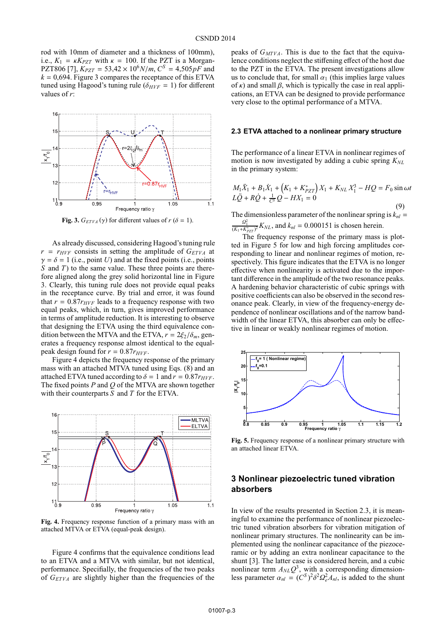rod with 10mm of diameter and a thickness of 100mm), i.e.,  $K_1 = \kappa K_{PZT}$  with  $\kappa = 100$ . If the PZT is a Morgan-PZT806 [7],  $K_{PZT} = 53,42 \times 10^6 N/m, C^S = 4,505pF$  and  $k = 0.694$ . Figure 3 compares the receptance of this ETVA tuned using Hagood's tuning rule ( $\delta_{HVF} = 1$ ) for different values of *r*:



**Fig. 3.**  $G_{ETVA}(\gamma)$  for different values of  $r(\delta = 1)$ .

As already discussed, considering Hagood's tuning rule  $r = r_{HVF}$  consists in setting the amplitude of  $G_{ETVA}$  at  $\gamma = \delta = 1$  (i.e., point *U*) and at the fixed points (i.e., points *S* and *T*) to the same value. These three points are therefore aligned along the grey solid horizontal line in Figure 3. Clearly, this tuning rule does not provide equal peaks in the receptance curve. By trial and error, it was found that  $r = 0.87r_{HVF}$  leads to a frequency response with two equal peaks, which, in turn, gives improved performance in terms of amplitude reduction. It is interesting to observe that designing the ETVA using the third equivalence condition between the MTVA and the ETVA,  $r = 2\xi_2/\delta_m$ , generates a frequency response almost identical to the equalpeak design found for  $r = 0.87r_{HVF}$ .

Figure 4 depicts the frequency response of the primary mass with an attached MTVA tuned using Eqs. (8) and an attached ETVA tuned according to  $\delta = 1$  and  $r = 0.87r_{HVF}$ . The fixed points *P* and *Q* of the MTVA are shown together with their counterparts *S* and *T* for the ETVA.



**Fig. 4.** Frequency response function of a primary mass with an attached MTVA or ETVA (equal-peak design).

Figure 4 confirms that the equivalence conditions lead to an ETVA and a MTVA with similar, but not identical, performance. Specifially, the frequencies of the two peaks of *GETVA* are slightly higher than the frequencies of the peaks of  $G_{MTVA}$ . This is due to the fact that the equivalence conditions neglect the stiffening effect of the host due to the PZT in the ETVA. The present investigations allow us to conclude that, for small  $\alpha_1$  (this implies large values of  $\kappa$ ) and small  $\beta$ , which is typically the case in real applications, an ETVA can be designed to provide performance very close to the optimal performance of a MTVA.

#### **2.3 ETVA attached to a nonlinear primary structure**

The performance of a linear ETVA in nonlinear regimes of motion is now investigated by adding a cubic spring  $K_{NL}$ in the primary system:

$$
M_1\ddot{X}_1 + B_1\dot{X}_1 + \left(K_1 + K_{PZT}^*\right)X_1 + K_{NL}X_1^3 - HQ = F_0\sin\omega t
$$
  

$$
L\ddot{Q} + R\dot{Q} + \frac{1}{C^5}Q - HX_1 = 0
$$
 (9)

The dimensionless parameter of the nonlinear spring is  $k_{nl}$  =  $\frac{Q_1^2}{(K_1 + K_{p2T}^*)^2} K_{NL}$ , and  $k_{nl} = 0.000151$  is chosen herein.

The frequency response of the primary mass is plotted in Figure 5 for low and high forcing amplitudes corresponding to linear and nonlinear regimes of motion, respectively. This figure indicates that the ETVA is no longer effective when nonlinearity is activated due to the important difference in the amplitude of the two resonance peaks. A hardening behavior characteristic of cubic springs with positive coefficients can also be observed in the second resonance peak. Clearly, in view of the frequency-energy dependence of nonlinear oscillations and of the narrow bandwidth of the linear ETVA, this absorber can only be effective in linear or weakly nonlinear regimes of motion.



**Fig. 5.** Frequency response of a nonlinear primary structure with an attached linear ETVA.

## **3 Nonlinear piezoelectric tuned vibration absorbers**

In view of the results presented in Section 2.3, it is meaningful to examine the performance of nonlinear piezoelectric tuned vibration absorbers for vibration mitigation of nonlinear primary structures. The nonlinearity can be implemented using the nonlinear capacitance of the piezoceramic or by adding an extra nonlinear capacitance to the shunt [3]. The latter case is considered herein, and a cubic nonlinear term  $A_{NL}Q^3$ , with a corresponding dimensionless parameter  $\alpha_{nl} = (C^S)^2 \delta^2 \Omega_e^2 A_{nl}$ , is added to the shunt